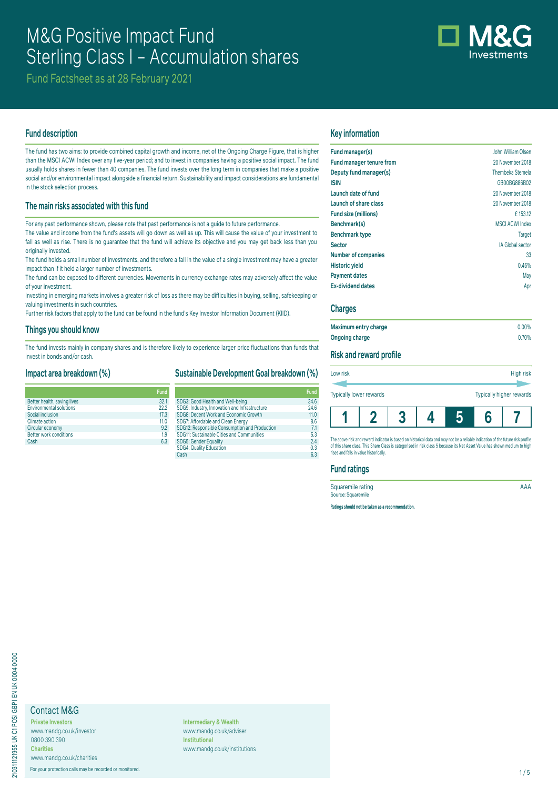# M&G Positive Impact Fund Sterling Class I – Accumulation shares

Fund Factsheet as at 28 February 2021

## **Fund description**

The fund has two aims: to provide combined capital growth and income, net of the Ongoing Charge Figure, that is higher than the MSCI ACWI Index over any five-year period; and to invest in companies having a positive social impact. The fund usually holds shares in fewer than 40 companies. The fund invests over the long term in companies that make a positive social and/or environmental impact alongside a financial return. Sustainability and impact considerations are fundamental in the stock selection process.

# **The main risks associated with this fund**

For any past performance shown, please note that past performance is not a guide to future performance.

The value and income from the fund's assets will go down as well as up. This will cause the value of your investment to fall as well as rise. There is no guarantee that the fund will achieve its objective and you may get back less than you originally invested.

The fund holds a small number of investments, and therefore a fall in the value of a single investment may have a greater impact than if it held a larger number of investments.

The fund can be exposed to different currencies. Movements in currency exchange rates may adversely affect the value of your investment.

Investing in emerging markets involves a greater risk of loss as there may be difficulties in buying, selling, safekeeping or valuing investments in such countries.

Further risk factors that apply to the fund can be found in the fund's Key Investor Information Document (KIID).

#### **Things you should know**

The fund invests mainly in company shares and is therefore likely to experience larger price fluctuations than funds that invest in bonds and/or cash.

#### **Impact area breakdown (%)**

|                                | Fund            |
|--------------------------------|-----------------|
| Better health, saving lives    | 32.1            |
| <b>Environmental solutions</b> | 222             |
| Social inclusion               | 17.3            |
| Climate action                 | 11 <sub>0</sub> |
| Circular economy               | 9.2             |
| <b>Better work conditions</b>  | 1.9             |
| Cash                           | 63              |

|                                               | <b>Fund</b> |
|-----------------------------------------------|-------------|
| SDG3: Good Health and Well-being              | 34.6        |
| SDG9: Industry, Innovation and Infrastructure | 24.6        |
| SDG8: Decent Work and Economic Growth         | 11.0        |
| SDG7: Affordable and Clean Energy             | 8.6         |
| SDG12: Responsible Consumption and Production | 7.1         |
| SDG11: Sustainable Cities and Communities     | 5.3         |
| SDG5: Gender Equality                         | 2.4         |
| <b>SDG4: Quality Education</b>                | 0.3         |
| Cash                                          | 6.3         |

**Sustainable Development Goal breakdown (%)**

## **Key information**

| 20 November 2018<br>Thembeka Stemela |
|--------------------------------------|
|                                      |
|                                      |
| GB00BG886B02                         |
| 20 November 2018                     |
| 20 November 2018                     |
| £153.12                              |
| <b>MSCI ACWI Index</b>               |
| <b>Target</b>                        |
| <b>IA Global sector</b>              |
| 33                                   |
| 0.46%                                |
| May                                  |
| Apr                                  |
|                                      |

#### **Charges**

| Maximum entry charge | $0.00\%$ |
|----------------------|----------|
| Ongoing charge       | 0.70%    |

## **Risk and reward profile**

| Low risk                       |  | High risk |  |  |                          |  |
|--------------------------------|--|-----------|--|--|--------------------------|--|
| <b>Typically lower rewards</b> |  |           |  |  | Typically higher rewards |  |
|                                |  |           |  |  |                          |  |

The above risk and reward indicator is based on historical data and may not be a reliable indication of the future risk profile of this share class. This Share Class is categorised in risk class 5 because its Net Asset Value has shown medium to high rises and falls in value historically.

## **Fund ratings**

Squaremile rating AAA Source: Squaremile

**Ratings should not be taken as a recommendation.**

# Contact M&G

**Private Investors** www.mandg.co.uk/investor 0800 390 390 **Charities** www.mandg.co.uk/charities

For your protection calls may be recorded or monitored. 1/5

**Intermediary & Wealth** www.mandg.co.uk/adviser **Institutional** www.mandg.co.uk/institutions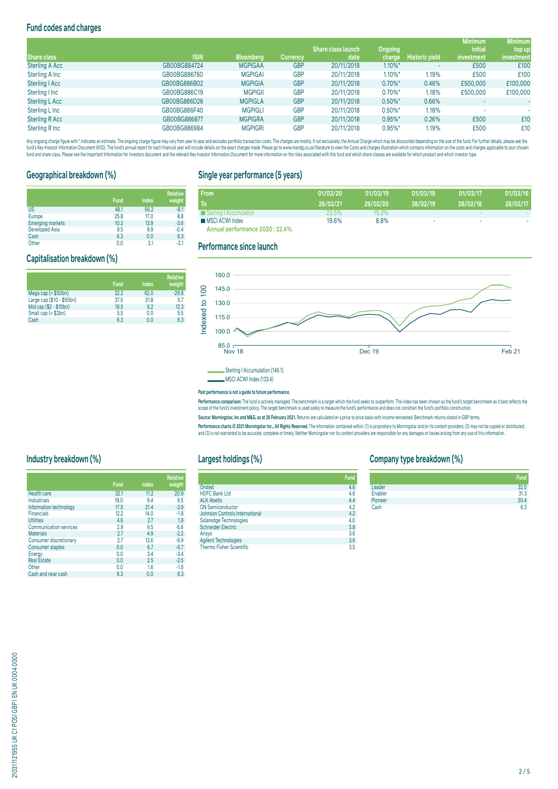# **Fund codes and charges**

|                       |              |                  |                 |                           |                       |                       | <b>Minimum</b> | <b>Minimum</b> |
|-----------------------|--------------|------------------|-----------------|---------------------------|-----------------------|-----------------------|----------------|----------------|
|                       |              |                  |                 | <b>Share class launch</b> | <b>Ongoing</b>        |                       | <i>initial</i> | top up         |
| Share class           | <b>ISIN</b>  | <b>Bloomberg</b> | <b>Currency</b> | date                      | charge                | <b>Historic yield</b> | investment     | investment     |
| <b>Sterling A Acc</b> | GB00BG884724 | <b>MGPIGAA</b>   | <b>GBP</b>      | 20/11/2018                | $1.10\%$ *            |                       | £500           | £100           |
| Sterling A Inc        | GB00BG886760 | <b>MGPIGAI</b>   | <b>GBP</b>      | 20/11/2018                | $1.10\%$ <sup>*</sup> | 1.19%                 | £500           | £100           |
| Sterling   Acc        | GB00BG886B02 | <b>MGPIGIA</b>   | <b>GBP</b>      | 20/11/2018                | $0.70\%$ *            | 0.46%                 | £500,000       | £100,000       |
| Sterling I Inc        | GB00BG886C19 | <b>MGPIGII</b>   | <b>GBP</b>      | 20/11/2018                | $0.70\%$ *            | 1.18%                 | £500,000       | £100,000       |
| <b>Sterling L Acc</b> | GB00BG886D26 | <b>MGPIGLA</b>   | <b>GBP</b>      | 20/11/2018                | $0.50\%$ *            | 0.66%                 |                | ٠              |
| Sterling L Inc        | GB00BG886F40 | <b>MGPIGLI</b>   | <b>GBP</b>      | 20/11/2018                | $0.50\%$ *            | 1.18%                 |                |                |
| Sterling R Acc        | GB00BG886877 | <b>MGPIGRA</b>   | <b>GBP</b>      | 20/11/2018                | $0.95\%$ *            | 0.26%                 | £500           | £10            |
| Sterling R Inc        | GB00BG886984 | <b>MGPIGRI</b>   | <b>GBP</b>      | 20/11/2018                | $0.95\%$ *            | 1.19%                 | £500           | £10            |

Any organism and the man and the manual memory and the manual way to my express that conclusted in the manual memory interest and the manual memory in the manual memory in a manual memory in a manual memory in the containe fund and share class. Please see the Important Information for Investors document and the relevant Key Investor Information Document for more information on the risks associated with this fund and which share classes are a

# **Geographical breakdown (%)**

**Capitalisation breakdown (%)**

|                         | <b>Fund</b> | Index | <b>Relative</b><br>weight |
|-------------------------|-------------|-------|---------------------------|
| <b>US</b>               | 48.1        | 56.2  | $-8.1$                    |
| Europe                  | 25.8        | 17.0  | 8.8                       |
| <b>Emerging markets</b> | 10.3        | 13.9  | $-3.6$                    |
| Developed Asia          | 9.5         | 9.9   | $-0.4$                    |
| Cash                    | 6.3         | 0.0   | 6.3                       |

**Fund Index**

Mega cap (> \$50bn) 32.2 62.0 -29.8 Large cap (\$10 - \$50bn) 37.5 31.8 5.7 Mid cap (\$2 - \$10bn) 18.5 6.2 12.3 Small cap (< \$2bn) 5.5 0.0 5.5 Cash 6.3 0.0 6.3

# **Single year performance (5 years)**

| <b>From</b>                     | 01/03/20 | 01/03/19 | 01/03/18 | 01/03/17 | 01/03/16 |
|---------------------------------|----------|----------|----------|----------|----------|
| To                              | 28/02/21 | 29/02/20 | 28/02/19 | 28/02/18 | 28/02/17 |
| Sterling   Accumulation         | 23.5%    | $15.2\%$ |          |          |          |
| <b>MSCI ACWI Index</b>          | 19.6%    | 8.8%     |          | ۰        |          |
| Annual performance 2020 : 22.4% |          |          |          |          |          |

**Annual performance 2020 : 22.4%**

#### Other 0.0 3.1 -3.1 **Performance since launch**

**Relative weight**



MSCI ACWI Index (133.4)

#### **Past performance is not a guide to future performance.**

rerrormance comparison: The fund is actively managed. The denomiark is a target which the fund's seek to outperform. The index has been chosen as the fund's target denomiark as it dest ferieds the<br>scope of the fund's inves

Source: Morningstar, Inc and M&G, as at 28 February 2021. Returns are calculated on a price to price basis with income reinvested. Benchmark returns stated in GBP terms

Performance charts © 2021 Morningstar Inc., All Rights Reserved. The information contained within: (1) is proprietary to Morningstar and/or its content providers; (2) may not be copied or distributed; and (3) is not warranted to be accurate, complete or timely. Neither Morningstar nor its content providers are responsible for any damages or losses arising from any use of this information.

# **Industry breakdown (%)**

|                               | <b>Fund</b> | <b>Index</b> | <b>Relative</b><br>weight |
|-------------------------------|-------------|--------------|---------------------------|
| Health care                   | 32.1        | 11.2         | 20.9                      |
| Industrials                   | 19.0        | 9.4          | 9.5                       |
| Information technology        | 17.5        | 21.4         | $-3.9$                    |
| <b>Financials</b>             | 12.2        | 14.0         | $-1.8$                    |
| <b>Utilities</b>              | 4.6         | 2.7          | 1.9                       |
| <b>Communication services</b> | 2.9         | 9.5          | $-6.6$                    |
| <b>Materials</b>              | 2.7         | 4.9          | $-2.2$                    |
| Consumer discretionary        | 2.7         | 12.6         | $-9.9$                    |
| Consumer staples              | 0.0         | 6.7          | $-6.7$                    |
| Energy                        | 0.0         | 3.4          | $-3.4$                    |
| <b>Real Estate</b>            | 0.0         | 2.5          | $-2.5$                    |
| Other                         | 0.0         | 1.6          | $-1.6$                    |
| Cash and near cash            | 6.3         | 0.0          | 6.3                       |

# **Largest holdings (%)**

|                                       | Fund |
|---------------------------------------|------|
| Orsted                                | 4.6  |
| <b>HDFC Bank Ltd</b>                  | 4.6  |
| <b>ALK Abello</b>                     | 4.4  |
| <b>ON Semiconductor</b>               | 4.2  |
| <b>Johnson Controls International</b> | 4.2  |
| Solaredge Technologies                | 4.0  |
| <b>Schneider Electric</b>             | 3.8  |
| Ansys                                 | 3.6  |
| <b>Agilent Technologies</b>           | 3.6  |
| <b>Thermo Fisher Scientific</b>       | 3.5  |

# **Company type breakdown (%)**

|         | Fund |
|---------|------|
| Leader  | 32.0 |
| Enabler | 31.3 |
| Pioneer | 30.4 |
| Cash    | 6.3  |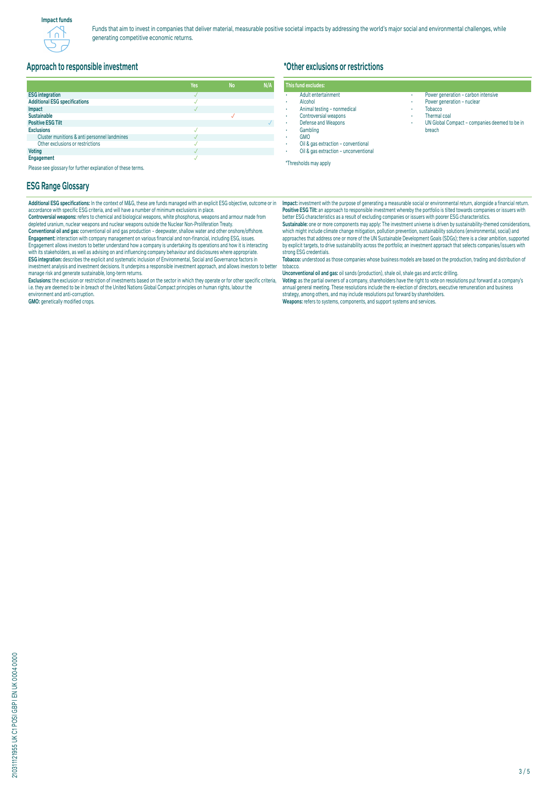

## **Approach to responsible investment**

|                                              | Yes | <b>No</b> |  |
|----------------------------------------------|-----|-----------|--|
| <b>ESG</b> integration                       |     |           |  |
| <b>Additional ESG specifications</b>         |     |           |  |
| Impact                                       |     |           |  |
| <b>Sustainable</b>                           |     |           |  |
| <b>Positive ESG Tilt</b>                     |     |           |  |
| <b>Exclusions</b>                            |     |           |  |
| Cluster munitions & anti personnel landmines |     |           |  |
| Other exclusions or restrictions             |     |           |  |
| <b>Voting</b>                                |     |           |  |
| Engagement                                   |     |           |  |

Please see glossary for further explanation of these terms.

#### **ESG Range Glossary**

**Additional ESG specifications:** In the context of M&G, these are funds managed with an explicit ESG objective, outcome or in accordance with specific ESG criteria, and will have a number of minimum exclusions in place.

**Controversial weapons:** refers to chemical and biological weapons, white phosphorus, weapons and armour made from depleted uranium, nuclear weapons and nuclear weapons outside the Nuclear Non-Proliferation Treaty. **Conventional oil and gas:** conventional oil and gas production – deepwater, shallow water and other onshore/offshore. **Engagement:** Interaction with company management on various financial and non-financial, including ESG, issues.<br>Engagement allows investors to better understand how a company is undertaking its operations and how it is in with its stakeholders, as well as advising on and influencing company behaviour and disclosures where appropriate. **ESG integration:** describes the explicit and systematic inclusion of Environmental, Social and Governance factors in<br>investment analysis and investment decisions. It underpins a responsible investment approach, and allows manage risk and generate sustainable, long-term returns.

Exclusions: the exclusion or restriction of investments based on the sector in which they operate or for other specific criteria,<br>i.e. they are deemed to be in breach of the United Nations Global Compact principles on huma environment and anti-corruption.

**GMO:** genetically modified crops.

# **\*Other exclusions or restrictions**

#### **This fund excludes:** • Adult entertainment

- Alcohol • Animal testing – nonmedical
- Controversial weapons • Defense and Weapons
- **Gambling**
- GMO
- Oil & gas extraction conventional • Oil & gas extraction – unconventional

\*Thresholds may apply

**Impact:** investment with the purpose of generating a measurable social or environmental return, alongside a financial return. **Positive ESG Tilt:** an approach to responsible investment whereby the portfolio is tilted towards companies or issuers with better ESG characteristics as a result of excluding companies or issuers with poorer ESG characteristics.<br>**Sustainable:** one or more components may apply: The investment universe is driven by sustainability-themed consider

Power generation – carbon intensive Power generation - nuclear

UN Global Compact - companies deemed to be in

• Tobacco Thermal coal

breach

which might include climate change mitigation, pollution prevention, sustainability solutions (environmental, social) and approaches that address one or more of the UN Sustainable Development Goals (SDGs); there is a clear ambition, supported by explicit targets, to drive sustainability across the portfolio; an investment approach that selects companies/issuers with strong ESG credentials.

**Tobacco:** understood as those companies whose business models are based on the production, trading and distribution of tobacco.

**Unconventional oil and gas:** oil sands (production), shale oil, shale gas and arctic drilling.

**voung:** as the partial owners of a company, snareholders have the right to vote on resolutions put forward at a company's<br>annual general meeting. These resolutions include the re-election of directors, executive remunerat strategy, among others, and may include resolutions put forward by shareholders. **Weapons:** refers to systems, components, and support systems and services.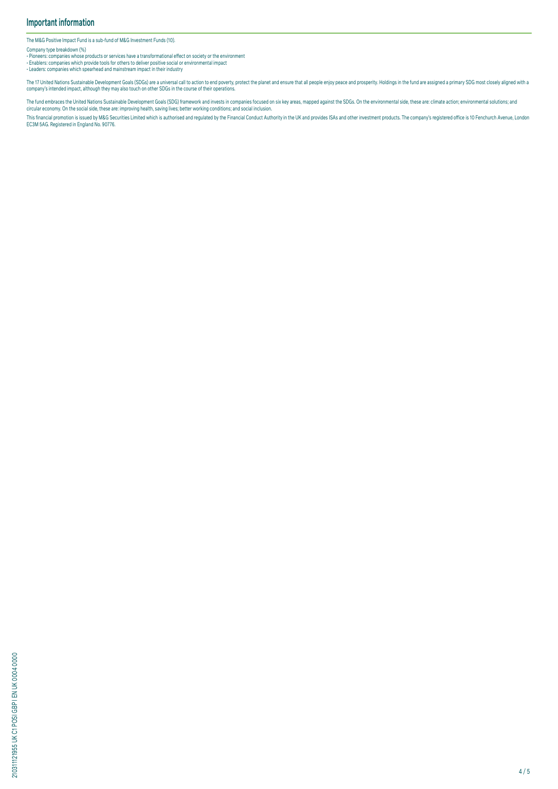The M&G Positive Impact Fund is a sub-fund of M&G Investment Funds (10).

Company type breakdown (%)

• Pioneers: companies whose products or services have a transformational effect on society or the environment<br>• Enablers: companies which provide tools for others to deliver positive social or environmental impact<br>• Leader

The 17 United Nations Sustainable Development Goals (SDGs) are a universal call to action to end poverty, protect the planet and ensure that all people enjoy peace and prosperity. Holdings in the fund are assigned a primar company's intended impact, although they may also touch on other SDGs in the course of their operations.

The fund embraces the United Nations Sustainable Development Goals (SDG) framework and invests in companies focused on six key areas, mapped against the SDGs. On the environmental side, these are: climate action; environme

This financial promotion is issued by M&G Securities Limited which is authorised and regulated by the Financial Conduct Authority in the UK and provides ISAS and other investment products. The company's registered office i